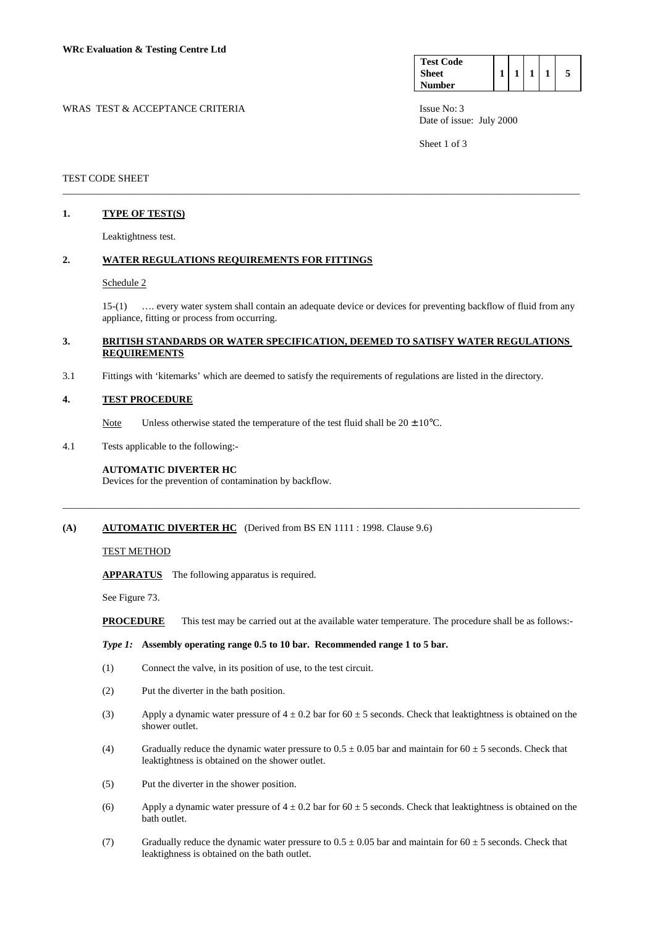| <b>Test Code</b> |  |  |  |
|------------------|--|--|--|
| <b>Sheet</b>     |  |  |  |
| <b>Number</b>    |  |  |  |

Date of issue: July 2000

Sheet 1 of 3

#### TEST CODE SHEET

### **1. TYPE OF TEST(S)**

Leaktightness test.

# **2. WATER REGULATIONS REQUIREMENTS FOR FITTINGS**

#### Schedule 2

 15-(1) …. every water system shall contain an adequate device or devices for preventing backflow of fluid from any appliance, fitting or process from occurring.

## **3. BRITISH STANDARDS OR WATER SPECIFICATION, DEEMED TO SATISFY WATER REGULATIONS REQUIREMENTS**

\_\_\_\_\_\_\_\_\_\_\_\_\_\_\_\_\_\_\_\_\_\_\_\_\_\_\_\_\_\_\_\_\_\_\_\_\_\_\_\_\_\_\_\_\_\_\_\_\_\_\_\_\_\_\_\_\_\_\_\_\_\_\_\_\_\_\_\_\_\_\_\_\_\_\_\_\_\_\_\_\_\_\_\_\_\_\_\_\_\_\_\_\_\_\_\_\_\_\_\_\_\_\_

\_\_\_\_\_\_\_\_\_\_\_\_\_\_\_\_\_\_\_\_\_\_\_\_\_\_\_\_\_\_\_\_\_\_\_\_\_\_\_\_\_\_\_\_\_\_\_\_\_\_\_\_\_\_\_\_\_\_\_\_\_\_\_\_\_\_\_\_\_\_\_\_\_\_\_\_\_\_\_\_\_\_\_\_\_\_\_\_\_\_\_\_\_\_\_\_\_\_\_\_\_\_\_

3.1 Fittings with 'kitemarks' which are deemed to satisfy the requirements of regulations are listed in the directory.

#### **4. TEST PROCEDURE**

Note Unless otherwise stated the temperature of the test fluid shall be  $20 \pm 10^{\circ}$ C.

4.1 Tests applicable to the following:-

### **AUTOMATIC DIVERTER HC**

Devices for the prevention of contamination by backflow.

## **(A) AUTOMATIC DIVERTER HC** (Derived from BS EN 1111 : 1998. Clause 9.6)

### TEST METHOD

 **APPARATUS** The following apparatus is required.

See Figure 73.

**PROCEDURE** This test may be carried out at the available water temperature. The procedure shall be as follows:-

#### *Type 1:* **Assembly operating range 0.5 to 10 bar. Recommended range 1 to 5 bar.**

- (1) Connect the valve, in its position of use, to the test circuit.
- (2) Put the diverter in the bath position.
- (3) Apply a dynamic water pressure of  $4 \pm 0.2$  bar for  $60 \pm 5$  seconds. Check that leaktightness is obtained on the shower outlet.
- (4) Gradually reduce the dynamic water pressure to  $0.5 \pm 0.05$  bar and maintain for  $60 \pm 5$  seconds. Check that leaktightness is obtained on the shower outlet.
- (5) Put the diverter in the shower position.
- (6) Apply a dynamic water pressure of  $4 \pm 0.2$  bar for  $60 \pm 5$  seconds. Check that leaktightness is obtained on the bath outlet.
- (7) Gradually reduce the dynamic water pressure to  $0.5 \pm 0.05$  bar and maintain for  $60 \pm 5$  seconds. Check that leaktighness is obtained on the bath outlet.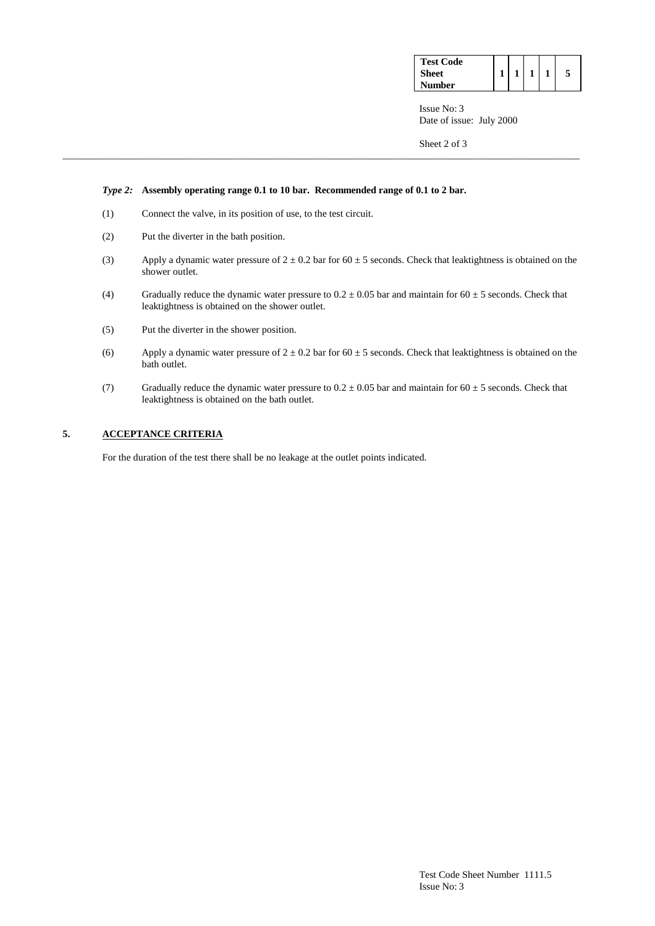| <b>Test Code</b> |  |  |  |
|------------------|--|--|--|
| <b>Sheet</b>     |  |  |  |
| Number           |  |  |  |

 Issue No: 3 Date of issue: July 2000

Sheet 2 of 3

### *Type 2:* **Assembly operating range 0.1 to 10 bar. Recommended range of 0.1 to 2 bar.**

- (1) Connect the valve, in its position of use, to the test circuit.
- (2) Put the diverter in the bath position.
- (3) Apply a dynamic water pressure of  $2 \pm 0.2$  bar for 60  $\pm$  5 seconds. Check that leaktightness is obtained on the shower outlet.

\_\_\_\_\_\_\_\_\_\_\_\_\_\_\_\_\_\_\_\_\_\_\_\_\_\_\_\_\_\_\_\_\_\_\_\_\_\_\_\_\_\_\_\_\_\_\_\_\_\_\_\_\_\_\_\_\_\_\_\_\_\_\_\_\_\_\_\_\_\_\_\_\_\_\_\_\_\_\_\_\_\_\_\_\_\_\_\_\_\_\_\_\_\_\_\_\_\_\_\_\_\_\_

- (4) Gradually reduce the dynamic water pressure to  $0.2 \pm 0.05$  bar and maintain for  $60 \pm 5$  seconds. Check that leaktightness is obtained on the shower outlet.
- (5) Put the diverter in the shower position.
- (6) Apply a dynamic water pressure of  $2 \pm 0.2$  bar for 60  $\pm$  5 seconds. Check that leaktightness is obtained on the bath outlet.
- (7) Gradually reduce the dynamic water pressure to  $0.2 \pm 0.05$  bar and maintain for  $60 \pm 5$  seconds. Check that leaktightness is obtained on the bath outlet.

# **5. ACCEPTANCE CRITERIA**

For the duration of the test there shall be no leakage at the outlet points indicated.